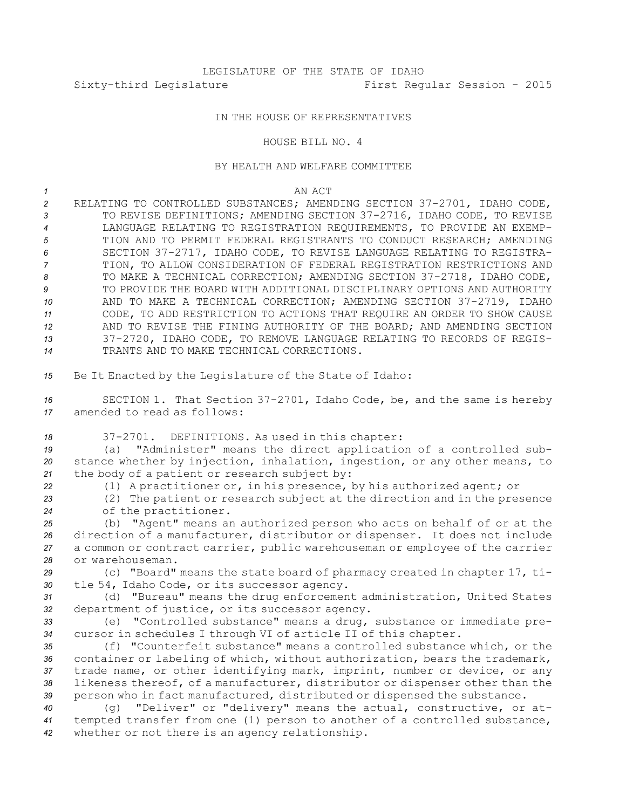## IN THE HOUSE OF REPRESENTATIVES

HOUSE BILL NO. 4

## BY HEALTH AND WELFARE COMMITTEE

*1* AN ACT

 RELATING TO CONTROLLED SUBSTANCES; AMENDING SECTION 37-2701, IDAHO CODE, 3 TO REVISE DEFINITIONS; AMENDING SECTION 37-2716, IDAHO CODE, TO REVISE LANGUAGE RELATING TO REGISTRATION REQUIREMENTS, TO PROVIDE AN EXEMP- TION AND TO PERMIT FEDERAL REGISTRANTS TO CONDUCT RESEARCH; AMENDING SECTION 37-2717, IDAHO CODE, TO REVISE LANGUAGE RELATING TO REGISTRA- TION, TO ALLOW CONSIDERATION OF FEDERAL REGISTRATION RESTRICTIONS AND 8 TO MAKE A TECHNICAL CORRECTION; AMENDING SECTION 37-2718, IDAHO CODE, TO PROVIDE THE BOARD WITH ADDITIONAL DISCIPLINARY OPTIONS AND AUTHORITY AND TO MAKE A TECHNICAL CORRECTION; AMENDING SECTION 37-2719, IDAHO CODE, TO ADD RESTRICTION TO ACTIONS THAT REQUIRE AN ORDER TO SHOW CAUSE AND TO REVISE THE FINING AUTHORITY OF THE BOARD; AND AMENDING SECTION 37-2720, IDAHO CODE, TO REMOVE LANGUAGE RELATING TO RECORDS OF REGIS-TRANTS AND TO MAKE TECHNICAL CORRECTIONS.

*<sup>15</sup>* Be It Enacted by the Legislature of the State of Idaho:

*<sup>16</sup>* SECTION 1. That Section 37-2701, Idaho Code, be, and the same is hereby *17* amended to read as follows:

*<sup>18</sup>* 37-2701. DEFINITIONS. As used in this chapter:

*<sup>19</sup>* (a) "Administer" means the direct application of <sup>a</sup> controlled sub-*<sup>20</sup>* stance whether by injection, inhalation, ingestion, or any other means, to *<sup>21</sup>* the body of <sup>a</sup> patient or research subject by:

*<sup>22</sup>* (1) <sup>A</sup> practitioner or, in his presence, by his authorized agent; or

*<sup>23</sup>* (2) The patient or research subject at the direction and in the presence *<sup>24</sup>* of the practitioner.

 (b) "Agent" means an authorized person who acts on behalf of or at the direction of <sup>a</sup> manufacturer, distributor or dispenser. It does not include <sup>a</sup> common or contract carrier, public warehouseman or employee of the carrier or warehouseman.

*<sup>29</sup>* (c) "Board" means the state board of pharmacy created in chapter 17, ti-*<sup>30</sup>* tle 54, Idaho Code, or its successor agency.

*<sup>31</sup>* (d) "Bureau" means the drug enforcement administration, United States *<sup>32</sup>* department of justice, or its successor agency.

*<sup>33</sup>* (e) "Controlled substance" means <sup>a</sup> drug, substance or immediate pre-*<sup>34</sup>* cursor in schedules <sup>I</sup> through VI of article II of this chapter.

 (f) "Counterfeit substance" means <sup>a</sup> controlled substance which, or the container or labeling of which, without authorization, bears the trademark, trade name, or other identifying mark, imprint, number or device, or any likeness thereof, of <sup>a</sup> manufacturer, distributor or dispenser other than the person who in fact manufactured, distributed or dispensed the substance.

*<sup>40</sup>* (g) "Deliver" or "delivery" means the actual, constructive, or at-*<sup>41</sup>* tempted transfer from one (1) person to another of <sup>a</sup> controlled substance, *<sup>42</sup>* whether or not there is an agency relationship.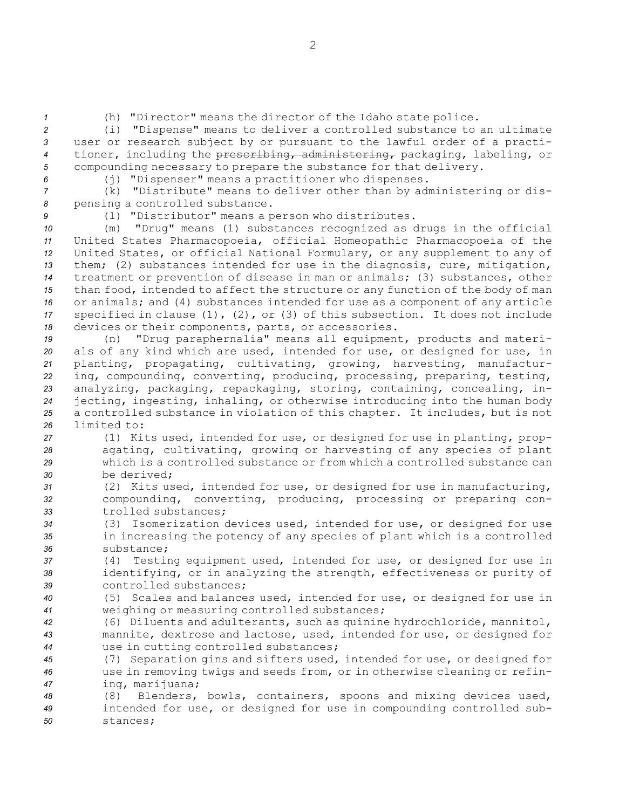*<sup>1</sup>* (h) "Director" means the director of the Idaho state police.

 (i) "Dispense" means to deliver <sup>a</sup> controlled substance to an ultimate user or research subject by or pursuant to the lawful order of <sup>a</sup> practi- tioner, including the prescribing, administering, packaging, labeling, or compounding necessary to prepare the substance for that delivery.

*<sup>6</sup>* (j) "Dispenser" means <sup>a</sup> practitioner who dispenses.

*<sup>7</sup>* (k) "Distribute" means to deliver other than by administering or dis-*<sup>8</sup>* pensing <sup>a</sup> controlled substance.

*<sup>9</sup>* (l) "Distributor" means <sup>a</sup> person who distributes.

 (m) "Drug" means (1) substances recognized as drugs in the official United States Pharmacopoeia, official Homeopathic Pharmacopoeia of the United States, or official National Formulary, or any supplement to any of them; (2) substances intended for use in the diagnosis, cure, mitigation, treatment or prevention of disease in man or animals; (3) substances, other than food, intended to affect the structure or any function of the body of man or animals; and (4) substances intended for use as <sup>a</sup> component of any article specified in clause (1), (2), or (3) of this subsection. It does not include devices or their components, parts, or accessories.

 (n) "Drug paraphernalia" means all equipment, products and materi- als of any kind which are used, intended for use, or designed for use, in planting, propagating, cultivating, growing, harvesting, manufactur- ing, compounding, converting, producing, processing, preparing, testing, analyzing, packaging, repackaging, storing, containing, concealing, in- jecting, ingesting, inhaling, or otherwise introducing into the human body <sup>a</sup> controlled substance in violation of this chapter. It includes, but is not limited to:

 (1) Kits used, intended for use, or designed for use in planting, prop- agating, cultivating, growing or harvesting of any species of plant which is <sup>a</sup> controlled substance or from which <sup>a</sup> controlled substance can be derived;

*<sup>31</sup>* (2) Kits used, intended for use, or designed for use in manufacturing, *<sup>32</sup>* compounding, converting, producing, processing or preparing con-*33* trolled substances;

*<sup>34</sup>* (3) Isomerization devices used, intended for use, or designed for use *<sup>35</sup>* in increasing the potency of any species of plant which is <sup>a</sup> controlled *36* substance;

*<sup>37</sup>* (4) Testing equipment used, intended for use, or designed for use in *<sup>38</sup>* identifying, or in analyzing the strength, effectiveness or purity of *39* controlled substances;

*<sup>40</sup>* (5) Scales and balances used, intended for use, or designed for use in *<sup>41</sup>* weighing or measuring controlled substances;

*<sup>42</sup>* (6) Diluents and adulterants, such as quinine hydrochloride, mannitol, *<sup>43</sup>* mannite, dextrose and lactose, used, intended for use, or designed for *<sup>44</sup>* use in cutting controlled substances;

*<sup>45</sup>* (7) Separation gins and sifters used, intended for use, or designed for *<sup>46</sup>* use in removing twigs and seeds from, or in otherwise cleaning or refin-*<sup>47</sup>* ing, marijuana;

*<sup>48</sup>* (8) Blenders, bowls, containers, spoons and mixing devices used, *<sup>49</sup>* intended for use, or designed for use in compounding controlled sub-*50* stances;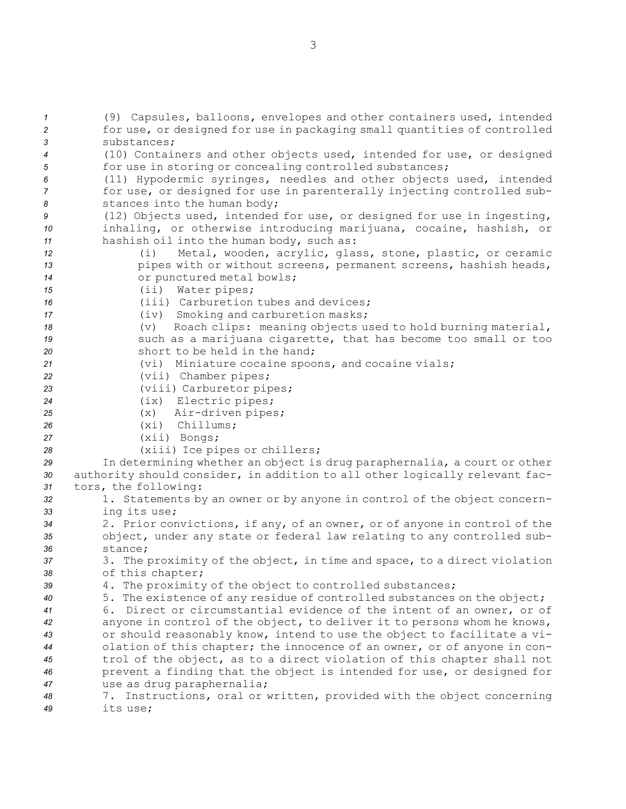(9) Capsules, balloons, envelopes and other containers used, intended for use, or designed for use in packaging small quantities of controlled substances; (10) Containers and other objects used, intended for use, or designed for use in storing or concealing controlled substances; (11) Hypodermic syringes, needles and other objects used, intended for use, or designed for use in parenterally injecting controlled sub- stances into the human body; (12) Objects used, intended for use, or designed for use in ingesting, inhaling, or otherwise introducing marijuana, cocaine, hashish, or hashish oil into the human body, such as: (i) Metal, wooden, acrylic, glass, stone, plastic, or ceramic pipes with or without screens, permanent screens, hashish heads, or punctured metal bowls; (ii) Water pipes; (iii) Carburetion tubes and devices; (iv) Smoking and carburetion masks; (v) Roach clips: meaning objects used to hold burning material, such as <sup>a</sup> marijuana cigarette, that has become too small or too short to be held in the hand; (vi) Miniature cocaine spoons, and cocaine vials; (vii) Chamber pipes; (viii) Carburetor pipes; (ix) Electric pipes; (x) Air-driven pipes; (xi) Chillums; (xii) Bongs; (xiii) Ice pipes or chillers; In determining whether an object is drug paraphernalia, <sup>a</sup> court or other authority should consider, in addition to all other logically relevant fac- tors, the following: 1. Statements by an owner or by anyone in control of the object concern- ing its use; 2. Prior convictions, if any, of an owner, or of anyone in control of the object, under any state or federal law relating to any controlled sub-*36* stance; 3. The proximity of the object, in time and space, to <sup>a</sup> direct violation of this chapter; 4. The proximity of the object to controlled substances; 5. The existence of any residue of controlled substances on the object; 6. Direct or circumstantial evidence of the intent of an owner, or of anyone in control of the object, to deliver it to persons whom he knows, or should reasonably know, intend to use the object to facilitate <sup>a</sup> vi- olation of this chapter; the innocence of an owner, or of anyone in con- trol of the object, as to <sup>a</sup> direct violation of this chapter shall not prevent <sup>a</sup> finding that the object is intended for use, or designed for use as drug paraphernalia; 7. Instructions, oral or written, provided with the object concerning *49* its use;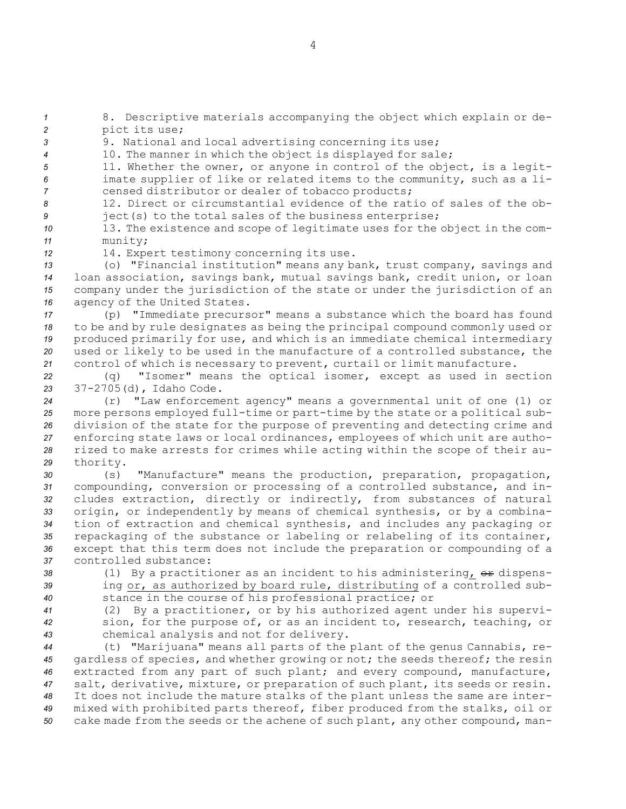*<sup>1</sup>* 8. Descriptive materials accompanying the object which explain or de-*<sup>2</sup>* pict its use;

*<sup>3</sup>* 9. National and local advertising concerning its use;

*<sup>4</sup>* 10. The manner in which the object is displayed for sale;

*<sup>5</sup>* 11. Whether the owner, or anyone in control of the object, is <sup>a</sup> legit-*<sup>6</sup>* imate supplier of like or related items to the community, such as <sup>a</sup> li-*<sup>7</sup>* censed distributor or dealer of tobacco products;

*8* 12. Direct or circumstantial evidence of the ratio of sales of the ob-*<sup>9</sup>* ject(s) to the total sales of the business enterprise;

*<sup>10</sup>* 13. The existence and scope of legitimate uses for the object in the com-*<sup>11</sup>* munity;

*<sup>12</sup>* 14. Expert testimony concerning its use.

 (o) "Financial institution" means any bank, trust company, savings and loan association, savings bank, mutual savings bank, credit union, or loan company under the jurisdiction of the state or under the jurisdiction of an agency of the United States.

 (p) "Immediate precursor" means <sup>a</sup> substance which the board has found to be and by rule designates as being the principal compound commonly used or produced primarily for use, and which is an immediate chemical intermediary used or likely to be used in the manufacture of <sup>a</sup> controlled substance, the control of which is necessary to prevent, curtail or limit manufacture.

*<sup>22</sup>* (q) "Isomer" means the optical isomer, except as used in section *<sup>23</sup>* 37-2705(d), Idaho Code.

 (r) "Law enforcement agency" means <sup>a</sup> governmental unit of one (1) or more persons employed full-time or part-time by the state or <sup>a</sup> political sub- division of the state for the purpose of preventing and detecting crime and enforcing state laws or local ordinances, employees of which unit are autho- rized to make arrests for crimes while acting within the scope of their au-*<sup>29</sup>* thority.

 (s) "Manufacture" means the production, preparation, propagation, compounding, conversion or processing of <sup>a</sup> controlled substance, and in- cludes extraction, directly or indirectly, from substances of natural origin, or independently by means of chemical synthesis, or by <sup>a</sup> combina- tion of extraction and chemical synthesis, and includes any packaging or repackaging of the substance or labeling or relabeling of its container, except that this term does not include the preparation or compounding of <sup>a</sup> controlled substance:

38 (1) By a practitioner as an incident to his administering, or dispens-*<sup>39</sup>* ing or, as authorized by board rule, distributing of <sup>a</sup> controlled sub-*<sup>40</sup>* stance in the course of his professional practice; or

*<sup>41</sup>* (2) By <sup>a</sup> practitioner, or by his authorized agent under his supervi-*<sup>42</sup>* sion, for the purpose of, or as an incident to, research, teaching, or *<sup>43</sup>* chemical analysis and not for delivery.

 (t) "Marijuana" means all parts of the plant of the genus Cannabis, re- gardless of species, and whether growing or not; the seeds thereof; the resin extracted from any part of such plant; and every compound, manufacture, salt, derivative, mixture, or preparation of such plant, its seeds or resin. It does not include the mature stalks of the plant unless the same are inter- mixed with prohibited parts thereof, fiber produced from the stalks, oil or cake made from the seeds or the achene of such plant, any other compound, man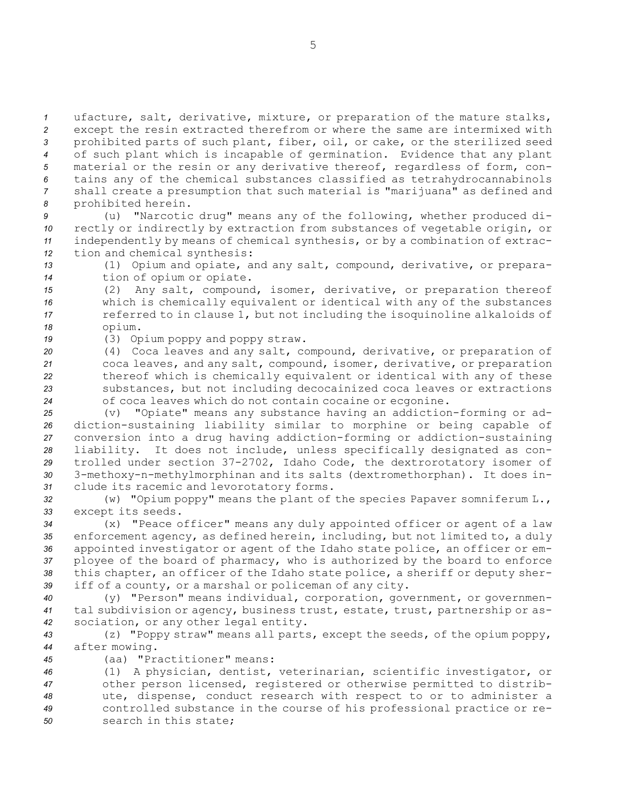ufacture, salt, derivative, mixture, or preparation of the mature stalks, except the resin extracted therefrom or where the same are intermixed with prohibited parts of such plant, fiber, oil, or cake, or the sterilized seed of such plant which is incapable of germination. Evidence that any plant material or the resin or any derivative thereof, regardless of form, con- tains any of the chemical substances classified as tetrahydrocannabinols shall create <sup>a</sup> presumption that such material is "marijuana" as defined and prohibited herein.

 (u) "Narcotic drug" means any of the following, whether produced di- rectly or indirectly by extraction from substances of vegetable origin, or independently by means of chemical synthesis, or by <sup>a</sup> combination of extrac-tion and chemical synthesis:

*<sup>13</sup>* (1) Opium and opiate, and any salt, compound, derivative, or prepara-*<sup>14</sup>* tion of opium or opiate.

 (2) Any salt, compound, isomer, derivative, or preparation thereof which is chemically equivalent or identical with any of the substances referred to in clause 1, but not including the isoquinoline alkaloids of *<sup>18</sup>* opium.

*<sup>19</sup>* (3) Opium poppy and poppy straw.

 (4) Coca leaves and any salt, compound, derivative, or preparation of coca leaves, and any salt, compound, isomer, derivative, or preparation thereof which is chemically equivalent or identical with any of these substances, but not including decocainized coca leaves or extractions of coca leaves which do not contain cocaine or ecgonine.

 (v) "Opiate" means any substance having an addiction-forming or ad- diction-sustaining liability similar to morphine or being capable of conversion into <sup>a</sup> drug having addiction-forming or addiction-sustaining liability. It does not include, unless specifically designated as con- trolled under section 37-2702, Idaho Code, the dextrorotatory isomer of 3-methoxy-n-methylmorphinan and its salts (dextromethorphan). It does in-clude its racemic and levorotatory forms.

*<sup>32</sup>* (w) "Opium poppy" means the plant of the species Papaver somniferum L., *<sup>33</sup>* except its seeds.

 (x) "Peace officer" means any duly appointed officer or agent of <sup>a</sup> law enforcement agency, as defined herein, including, but not limited to, <sup>a</sup> duly appointed investigator or agent of the Idaho state police, an officer or em- ployee of the board of pharmacy, who is authorized by the board to enforce this chapter, an officer of the Idaho state police, <sup>a</sup> sheriff or deputy sher-iff of <sup>a</sup> county, or <sup>a</sup> marshal or policeman of any city.

*<sup>40</sup>* (y) "Person" means individual, corporation, government, or governmen-*<sup>41</sup>* tal subdivision or agency, business trust, estate, trust, partnership or as-*<sup>42</sup>* sociation, or any other legal entity.

*<sup>43</sup>* (z) "Poppy straw" means all parts, except the seeds, of the opium poppy, *<sup>44</sup>* after mowing.

*<sup>45</sup>* (aa) "Practitioner" means:

 (1) <sup>A</sup> physician, dentist, veterinarian, scientific investigator, or other person licensed, registered or otherwise permitted to distrib- ute, dispense, conduct research with respect to or to administer <sup>a</sup> controlled substance in the course of his professional practice or re-search in this state;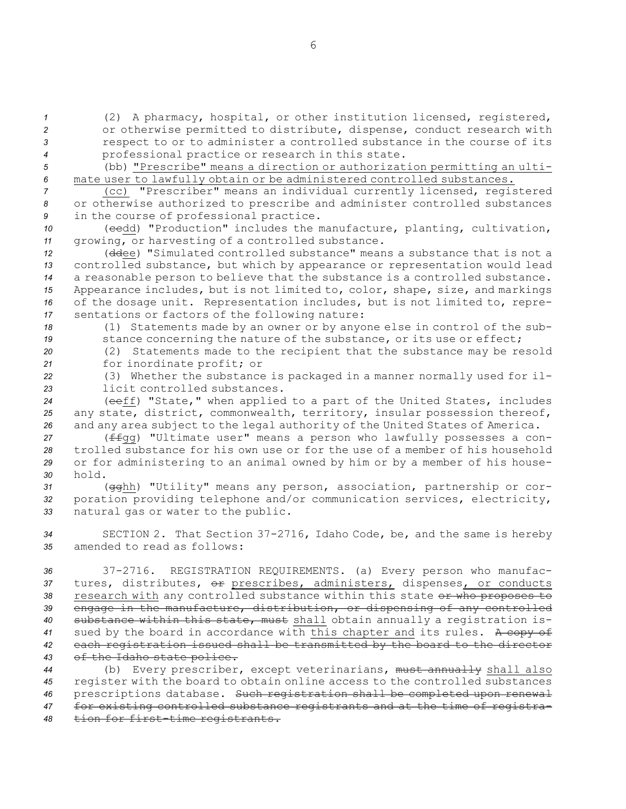(2) <sup>A</sup> pharmacy, hospital, or other institution licensed, registered, or otherwise permitted to distribute, dispense, conduct research with respect to or to administer <sup>a</sup> controlled substance in the course of its professional practice or research in this state.

*<sup>5</sup>* (bb) "Prescribe" means <sup>a</sup> direction or authorization permitting an ulti-*<sup>6</sup>* mate user to lawfully obtain or be administered controlled substances.

*<sup>7</sup>* (cc) "Prescriber" means an individual currently licensed, registered *<sup>8</sup>* or otherwise authorized to prescribe and administer controlled substances *<sup>9</sup>* in the course of professional practice.

10 (eedd) "Production" includes the manufacture, planting, cultivation, *<sup>11</sup>* growing, or harvesting of <sup>a</sup> controlled substance.

 (ddee) "Simulated controlled substance" means <sup>a</sup> substance that is not <sup>a</sup> controlled substance, but which by appearance or representation would lead <sup>a</sup> reasonable person to believe that the substance is <sup>a</sup> controlled substance. Appearance includes, but is not limited to, color, shape, size, and markings of the dosage unit. Representation includes, but is not limited to, repre-sentations or factors of the following nature:

*<sup>18</sup>* (1) Statements made by an owner or by anyone else in control of the sub-19 stance concerning the nature of the substance, or its use or effect;

*<sup>20</sup>* (2) Statements made to the recipient that the substance may be resold *<sup>21</sup>* for inordinate profit; or

*<sup>22</sup>* (3) Whether the substance is packaged in <sup>a</sup> manner normally used for il-*23* licit controlled substances.

*<sup>24</sup>* (eeff) "State," when applied to <sup>a</sup> part of the United States, includes *<sup>25</sup>* any state, district, commonwealth, territory, insular possession thereof, *<sup>26</sup>* and any area subject to the legal authority of the United States of America.

 (ffgg) "Ultimate user" means <sup>a</sup> person who lawfully possesses <sup>a</sup> con- trolled substance for his own use or for the use of <sup>a</sup> member of his household or for administering to an animal owned by him or by <sup>a</sup> member of his house-*30* hold.

*<sup>31</sup>* (gghh) "Utility" means any person, association, partnership or cor-*<sup>32</sup>* poration providing telephone and/or communication services, electricity, *<sup>33</sup>* natural gas or water to the public.

*<sup>34</sup>* SECTION 2. That Section 37-2716, Idaho Code, be, and the same is hereby *35* amended to read as follows:

 37-2716. REGISTRATION REQUIREMENTS. (a) Every person who manufac- tures, distributes, or prescribes, administers, dispenses, or conducts 38 research with any controlled substance within this state or who proposes to engage in the manufacture, distribution, or dispensing of any controlled substance within this state, must shall obtain annually <sup>a</sup> registration is- sued by the board in accordance with this chapter and its rules. <sup>A</sup> copy of each registration issued shall be transmitted by the board to the director of the Idaho state police.

 (b) Every prescriber, except veterinarians, must annually shall also register with the board to obtain online access to the controlled substances prescriptions database. Such registration shall be completed upon renewal for existing controlled substance registrants and at the time of registra-tion for first-time registrants.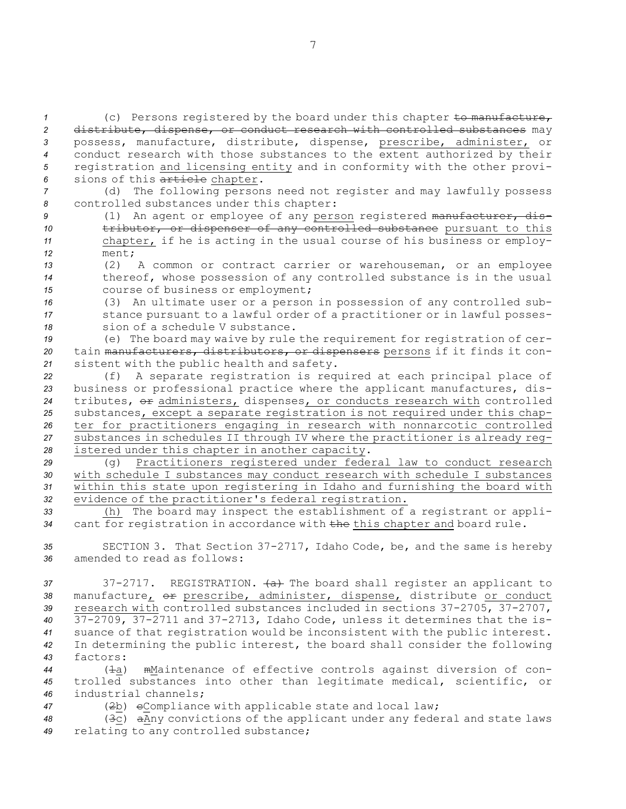(c) Persons registered by the board under this chapter to manufacture, distribute, dispense, or conduct research with controlled substances may possess, manufacture, distribute, dispense, prescribe, administer, or conduct research with those substances to the extent authorized by their registration and licensing entity and in conformity with the other provi-sions of this article chapter.

*<sup>7</sup>* (d) The following persons need not register and may lawfully possess *<sup>8</sup>* controlled substances under this chapter:

- 9 (1) An agent or employee of any person registered manufacturer, dis-10 **tributor, or dispenser of any controlled substance** pursuant to this *<sup>11</sup>* chapter, if he is acting in the usual course of his business or employ-*12* ment;
- *<sup>13</sup>* (2) <sup>A</sup> common or contract carrier or warehouseman, or an employee *<sup>14</sup>* thereof, whose possession of any controlled substance is in the usual *<sup>15</sup>* course of business or employment;
- *<sup>16</sup>* (3) An ultimate user or <sup>a</sup> person in possession of any controlled sub-*<sup>17</sup>* stance pursuant to <sup>a</sup> lawful order of <sup>a</sup> practitioner or in lawful posses-*18* sion of <sup>a</sup> schedule V substance.

*<sup>19</sup>* (e) The board may waive by rule the requirement for registration of cer-*<sup>20</sup>* tain manufacturers, distributors, or dispensers persons if it finds it con-*<sup>21</sup>* sistent with the public health and safety.

 (f) <sup>A</sup> separate registration is required at each principal place of business or professional practice where the applicant manufactures, dis- tributes, or administers, dispenses, or conducts research with controlled substances, except <sup>a</sup> separate registration is not required under this chap- ter for practitioners engaging in research with nonnarcotic controlled substances in schedules II through IV where the practitioner is already reg-istered under this chapter in another capacity.

 (g) Practitioners registered under federal law to conduct research with schedule <sup>I</sup> substances may conduct research with schedule <sup>I</sup> substances within this state upon registering in Idaho and furnishing the board with evidence of the practitioner's federal registration.

*<sup>33</sup>* (h) The board may inspect the establishment of <sup>a</sup> registrant or appli-*<sup>34</sup>* cant for registration in accordance with the this chapter and board rule.

*<sup>35</sup>* SECTION 3. That Section 37-2717, Idaho Code, be, and the same is hereby *36* amended to read as follows:

37 37 37-2717. REGISTRATION. (a) The board shall register an applicant to 38 manufacture, or prescribe, administer, dispense, distribute or conduct *<sup>39</sup>* research with controlled substances included in sections 37-2705, 37-2707, *<sup>40</sup>* 37-2709, 37-2711 and 37-2713, Idaho Code, unless it determines that the is-*<sup>41</sup>* suance of that registration would be inconsistent with the public interest. *<sup>42</sup>* In determining the public interest, the board shall consider the following *43* factors:

*<sup>44</sup>* (1a) mMaintenance of effective controls against diversion of con-*<sup>45</sup>* trolled substances into other than legitimate medical, scientific, or *46* industrial channels;

*<sup>47</sup>* (2b) cCompliance with applicable state and local law;

*<sup>48</sup>* (3c) aAny convictions of the applicant under any federal and state laws *<sup>49</sup>* relating to any controlled substance;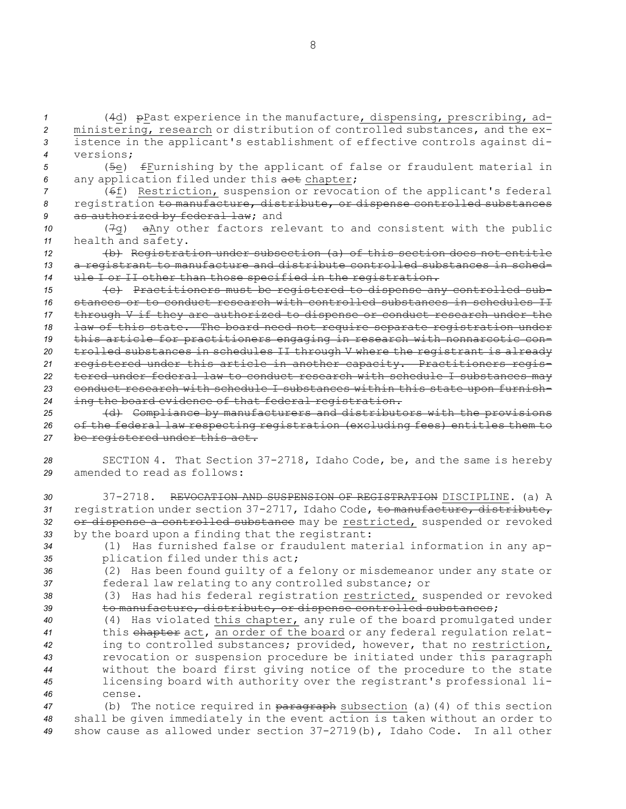(4d) pPast experience in the manufacture, dispensing, prescribing, ad- ministering, research or distribution of controlled substances, and the ex- istence in the applicant's establishment of effective controls against di- versions; (5e) fFurnishing by the applicant of false or fraudulent material in any application filed under this act chapter; (6f) Restriction, suspension or revocation of the applicant's federal registration to manufacture, distribute, or dispense controlled substances as authorized by federal law; and (7g) aAny other factors relevant to and consistent with the public health and safety. (b) Registration under subsection (a) of this section does not entitle <sup>a</sup> registrant to manufacture and distribute controlled substances in sched- ule <sup>I</sup> or II other than those specified in the registration. (c) Practitioners must be registered to dispense any controlled sub- stances or to conduct research with controlled substances in schedules II through <sup>V</sup> if they are authorized to dispense or conduct research under the law of this state. The board need not require separate registration under this article for practitioners engaging in research with nonnarcotic con- trolled substances in schedules II through <sup>V</sup> where the registrant is already registered under this article in another capacity. Practitioners regis- tered under federal law to conduct research with schedule <sup>I</sup> substances may conduct research with schedule <sup>I</sup> substances within this state upon furnish- ing the board evidence of that federal registration. (d) Compliance by manufacturers and distributors with the provisions of the federal law respecting registration (excluding fees) entitles them to be registered under this act. SECTION 4. That Section 37-2718, Idaho Code, be, and the same is hereby amended to read as follows: 37-2718. REVOCATION AND SUSPENSION OF REGISTRATION DISCIPLINE. (a) A registration under section 37-2717, Idaho Code, to manufacture, distribute, or dispense <sup>a</sup> controlled substance may be restricted, suspended or revoked by the board upon <sup>a</sup> finding that the registrant: (1) Has furnished false or fraudulent material information in any ap- plication filed under this act; (2) Has been found guilty of <sup>a</sup> felony or misdemeanor under any state or federal law relating to any controlled substance; or (3) Has had his federal registration restricted, suspended or revoked to manufacture, distribute, or dispense controlled substances; (4) Has violated this chapter, any rule of the board promulgated under this chapter act, an order of the board or any federal regulation relat- ing to controlled substances; provided, however, that no restriction, revocation or suspension procedure be initiated under this paragraph without the board first giving notice of the procedure to the state licensing board with authority over the registrant's professional li-*46* cense. 47 (b) The notice required in paragraph subsection (a)(4) of this section

*<sup>48</sup>* shall be given immediately in the event action is taken without an order to *<sup>49</sup>* show cause as allowed under section 37-2719(b), Idaho Code. In all other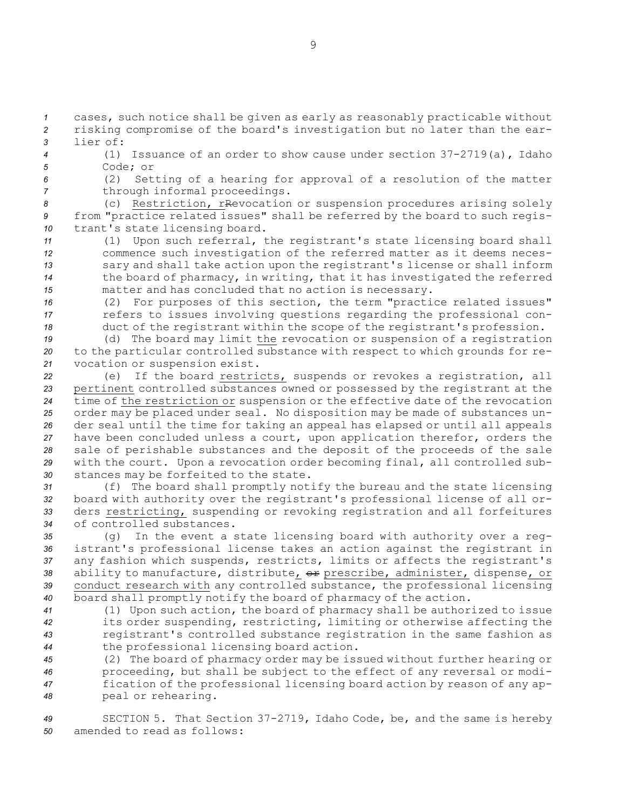*<sup>1</sup>* cases, such notice shall be given as early as reasonably practicable without *<sup>2</sup>* risking compromise of the board's investigation but no later than the ear-*3* lier of:

*<sup>4</sup>* (1) Issuance of an order to show cause under section 37-2719(a), Idaho *5* Code; or

*<sup>6</sup>* (2) Setting of <sup>a</sup> hearing for approval of <sup>a</sup> resolution of the matter

*<sup>7</sup>* through informal proceedings.

*<sup>8</sup>* (c) Restriction, rRevocation or suspension procedures arising solely *<sup>9</sup>* from "practice related issues" shall be referred by the board to such regis-*<sup>10</sup>* trant's state licensing board.

 (1) Upon such referral, the registrant's state licensing board shall commence such investigation of the referred matter as it deems neces- sary and shall take action upon the registrant's license or shall inform the board of pharmacy, in writing, that it has investigated the referred matter and has concluded that no action is necessary.

*<sup>16</sup>* (2) For purposes of this section, the term "practice related issues" *<sup>17</sup>* refers to issues involving questions regarding the professional con-*<sup>18</sup>* duct of the registrant within the scope of the registrant's profession.

*<sup>19</sup>* (d) The board may limit the revocation or suspension of <sup>a</sup> registration *<sup>20</sup>* to the particular controlled substance with respect to which grounds for re-*<sup>21</sup>* vocation or suspension exist.

 (e) If the board restricts, suspends or revokes <sup>a</sup> registration, all pertinent controlled substances owned or possessed by the registrant at the time of the restriction or suspension or the effective date of the revocation order may be placed under seal. No disposition may be made of substances un- der seal until the time for taking an appeal has elapsed or until all appeals have been concluded unless <sup>a</sup> court, upon application therefor, orders the sale of perishable substances and the deposit of the proceeds of the sale with the court. Upon <sup>a</sup> revocation order becoming final, all controlled sub-stances may be forfeited to the state.

 (f) The board shall promptly notify the bureau and the state licensing board with authority over the registrant's professional license of all or- ders restricting, suspending or revoking registration and all forfeitures of controlled substances.

 (g) In the event <sup>a</sup> state licensing board with authority over <sup>a</sup> reg- istrant's professional license takes an action against the registrant in any fashion which suspends, restricts, limits or affects the registrant's ability to manufacture, distribute, or prescribe, administer, dispense, or conduct research with any controlled substance, the professional licensing board shall promptly notify the board of pharmacy of the action.

 (1) Upon such action, the board of pharmacy shall be authorized to issue its order suspending, restricting, limiting or otherwise affecting the registrant's controlled substance registration in the same fashion as the professional licensing board action.

 (2) The board of pharmacy order may be issued without further hearing or proceeding, but shall be subject to the effect of any reversal or modi- fication of the professional licensing board action by reason of any ap-peal or rehearing.

*<sup>49</sup>* SECTION 5. That Section 37-2719, Idaho Code, be, and the same is hereby *50* amended to read as follows: